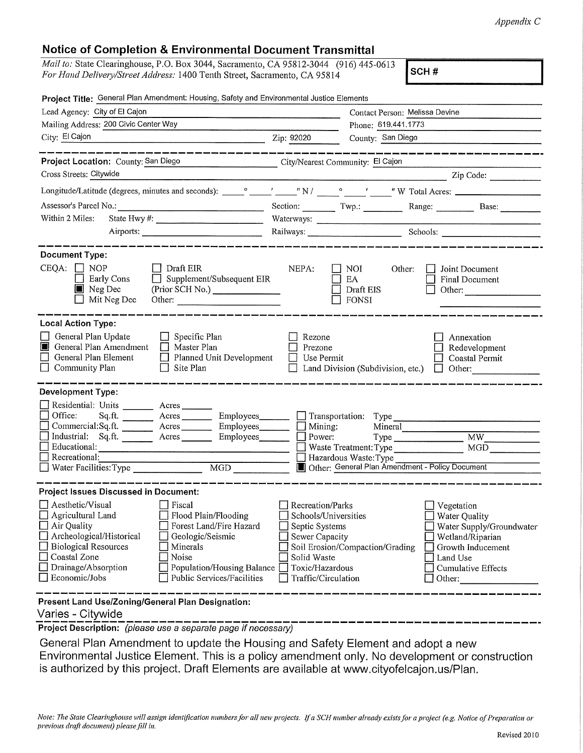## Notice of Completion & Environmental Document Transmittal

| Mail to: State Clearinghouse, P.O. Box 3044, Sacramento, CA 95812-3044 (916) 445-0613 |  |
|---------------------------------------------------------------------------------------|--|
| For Hand Delivery/Street Address: 1400 Tenth Street, Sacramento, CA 95814             |  |

SCH#

| Project Title: General Plan Amendment: Housing, Safety and Environmental Justice Elements                                                                                                                                                                                                                                                                                    |                                                                                                                                       |                                                                                             |                                                                                                                                              |  |
|------------------------------------------------------------------------------------------------------------------------------------------------------------------------------------------------------------------------------------------------------------------------------------------------------------------------------------------------------------------------------|---------------------------------------------------------------------------------------------------------------------------------------|---------------------------------------------------------------------------------------------|----------------------------------------------------------------------------------------------------------------------------------------------|--|
| Lead Agency: City of El Cajon                                                                                                                                                                                                                                                                                                                                                |                                                                                                                                       | Contact Person: Melissa Devine                                                              |                                                                                                                                              |  |
| Mailing Address: 200 Civic Center Way                                                                                                                                                                                                                                                                                                                                        |                                                                                                                                       | Phone: 619.441.1773                                                                         |                                                                                                                                              |  |
| City: El Cajon                                                                                                                                                                                                                                                                                                                                                               | Zip: 92020                                                                                                                            | County: San Diego                                                                           |                                                                                                                                              |  |
|                                                                                                                                                                                                                                                                                                                                                                              |                                                                                                                                       |                                                                                             |                                                                                                                                              |  |
| Project Location: County: San Diego                                                                                                                                                                                                                                                                                                                                          | City/Nearest Community: El Cajon                                                                                                      |                                                                                             |                                                                                                                                              |  |
| Cross Streets: Citywide                                                                                                                                                                                                                                                                                                                                                      |                                                                                                                                       |                                                                                             | <u> Zip Code:</u>                                                                                                                            |  |
|                                                                                                                                                                                                                                                                                                                                                                              |                                                                                                                                       |                                                                                             |                                                                                                                                              |  |
|                                                                                                                                                                                                                                                                                                                                                                              |                                                                                                                                       |                                                                                             | Section: Twp.: Twp.: Range: Base:                                                                                                            |  |
| Within 2 Miles:                                                                                                                                                                                                                                                                                                                                                              |                                                                                                                                       | Waterways:                                                                                  |                                                                                                                                              |  |
|                                                                                                                                                                                                                                                                                                                                                                              |                                                                                                                                       |                                                                                             |                                                                                                                                              |  |
| <b>Document Type:</b><br>$CEQA: \Box NOP$<br>$\Box$ Draft EIR<br>Supplement/Subsequent EIR<br>Early Cons<br>$\perp$<br>$\blacksquare$ Neg Dec<br>(Prior SCH No.) ________________<br>Mit Neg Dec<br>Other:                                                                                                                                                                   | NEPA:                                                                                                                                 | NOI.<br>Other:<br>EA<br>Draft EIS<br>FONSI                                                  | Joint Document<br><b>Final Document</b><br>Other:                                                                                            |  |
| <b>Local Action Type:</b><br>General Plan Update<br>$\Box$ Specific Plan<br>General Plan Amendment<br>$\Box$ Master Plan<br>General Plan Element<br>$\Box$ Planned Unit Development<br>$\Box$ Community Plan<br>Site Plan<br>$\perp$                                                                                                                                         | Rezone<br>Prezone<br>$\Box$ Use Permit                                                                                                | Land Division (Subdivision, etc.)                                                           | Annexation<br>Redevelopment<br>Coastal Permit<br>$\Box$ Other:                                                                               |  |
| <b>Development Type:</b>                                                                                                                                                                                                                                                                                                                                                     |                                                                                                                                       |                                                                                             |                                                                                                                                              |  |
| Residential: Units _______ Acres _____<br>Office:<br>Acres Employees Transportation: Type<br>Sq.ft.<br>Commercial:Sq.ft. __________ Acres<br>Industrial: Sq.ft. _______ Acres ______<br>Educational:<br>Recreational:<br>MGD<br>Water Facilities: Type                                                                                                                       | Employees____________<br>Mining:<br>Power:                                                                                            | Mineral<br>Type<br>Hazardous Waste: Type<br>Other: General Plan Amendment - Policy Document | MW -<br>MGD                                                                                                                                  |  |
| <b>Project Issues Discussed in Document:</b>                                                                                                                                                                                                                                                                                                                                 |                                                                                                                                       |                                                                                             |                                                                                                                                              |  |
| $\Box$ Aesthetic/Visual<br><b>Fiscal</b><br>$\Box$ Agricultural Land<br>Flood Plain/Flooding<br>$\Box$ Air Quality<br>Forest Land/Fire Hazard<br>Archeological/Historical<br>Geologic/Seismic<br><b>Biological Resources</b><br>Minerals<br>Coastal Zone<br>Noise<br>Drainage/Absorption<br>Population/Housing Balance<br>$\Box$ Economic/Jobs<br>Public Services/Facilities | Recreation/Parks<br>Schools/Universities<br>Septic Systems<br>Sewer Capacity<br>Solid Waste<br>Toxic/Hazardous<br>Traffic/Circulation | Soil Erosion/Compaction/Grading                                                             | Vegetation<br>Water Quality<br>Water Supply/Groundwater<br>Wetland/Riparian<br>Growth Inducement<br>Land Use<br>Cumulative Effects<br>Other: |  |
| Present Land Use/Zoning/General Plan Designation:<br>Varies - Citywide                                                                                                                                                                                                                                                                                                       |                                                                                                                                       |                                                                                             |                                                                                                                                              |  |

**Project Description:** (please use a separate page if necessary)

General Plan Amendment to update the Housing and Safety Element and adopt a new Environmental Justice Element. This is a policy amendment only. No development or construction is authorized by this project. Draft Elements are available at www.cityofelcajon.us/Plan.